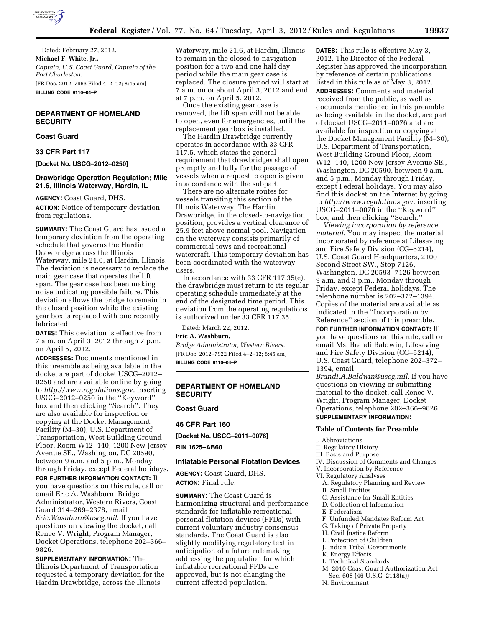

Dated: February 27, 2012. **Michael F. White, Jr.,**  *Captain, U.S. Coast Guard, Captain of the Port Charleston.*  [FR Doc. 2012–7963 Filed 4–2–12; 8:45 am] **BILLING CODE 9110–04–P** 

# **DEPARTMENT OF HOMELAND SECURITY**

# **Coast Guard**

## **33 CFR Part 117**

**[Docket No. USCG–2012–0250]** 

## **Drawbridge Operation Regulation; Mile 21.6, Illinois Waterway, Hardin, IL**

**AGENCY:** Coast Guard, DHS. **ACTION:** Notice of temporary deviation from regulations.

**SUMMARY:** The Coast Guard has issued a temporary deviation from the operating schedule that governs the Hardin Drawbridge across the Illinois Waterway, mile 21.6, at Hardin, Illinois. The deviation is necessary to replace the main gear case that operates the lift span. The gear case has been making noise indicating possible failure. This deviation allows the bridge to remain in the closed position while the existing gear box is replaced with one recently fabricated.

**DATES:** This deviation is effective from 7 a.m. on April 3, 2012 through 7 p.m. on April 5, 2012.

**ADDRESSES:** Documents mentioned in this preamble as being available in the docket are part of docket USCG–2012– 0250 and are available online by going to *[http://www.regulations.gov,](http://www.regulations.gov)* inserting USCG–2012–0250 in the ''Keyword'' box and then clicking ''Search''. They are also available for inspection or copying at the Docket Management Facility (M–30), U.S. Department of Transportation, West Building Ground Floor, Room W12–140, 1200 New Jersey Avenue SE., Washington, DC 20590, between 9 a.m. and 5 p.m., Monday through Friday, except Federal holidays.

**FOR FURTHER INFORMATION CONTACT:** If you have questions on this rule, call or email Eric A. Washburn, Bridge Administrator, Western Rivers, Coast Guard 314–269–2378, email *[Eric.Washburn@uscg.mil](mailto:Eric.Washburn@uscg.mil)*. If you have questions on viewing the docket, call Renee V. Wright, Program Manager, Docket Operations, telephone 202–366– 9826.

**SUPPLEMENTARY INFORMATION:** The Illinois Department of Transportation requested a temporary deviation for the Hardin Drawbridge, across the Illinois

Waterway, mile 21.6, at Hardin, Illinois to remain in the closed-to-navigation position for a two and one half day period while the main gear case is replaced. The closure period will start at 7 a.m. on or about April 3, 2012 and end at 7 p.m. on April 5, 2012.

Once the existing gear case is removed, the lift span will not be able to open, even for emergencies, until the replacement gear box is installed.

The Hardin Drawbridge currently operates in accordance with 33 CFR 117.5, which states the general requirement that drawbridges shall open promptly and fully for the passage of vessels when a request to open is given in accordance with the subpart.

There are no alternate routes for vessels transiting this section of the Illinois Waterway. The Hardin Drawbridge, in the closed-to-navigation position, provides a vertical clearance of 25.9 feet above normal pool. Navigation on the waterway consists primarily of commercial tows and recreational watercraft. This temporary deviation has been coordinated with the waterway users.

In accordance with 33 CFR 117.35(e), the drawbridge must return to its regular operating schedule immediately at the end of the designated time period. This deviation from the operating regulations is authorized under 33 CFR 117.35.

Dated: March 22, 2012.

# **Eric A. Washburn,**

*Bridge Administrator, Western Rivers.*  [FR Doc. 2012–7922 Filed 4–2–12; 8:45 am] **BILLING CODE 9110–04–P** 

## **DEPARTMENT OF HOMELAND SECURITY**

## **Coast Guard**

**46 CFR Part 160** 

**[Docket No. USCG–2011–0076]** 

**RIN 1625–AB60** 

#### **Inflatable Personal Flotation Devices**

**AGENCY:** Coast Guard, DHS. **ACTION:** Final rule.

**SUMMARY:** The Coast Guard is harmonizing structural and performance standards for inflatable recreational personal flotation devices (PFDs) with current voluntary industry consensus standards. The Coast Guard is also slightly modifying regulatory text in anticipation of a future rulemaking addressing the population for which inflatable recreational PFDs are approved, but is not changing the current affected population.

**DATES:** This rule is effective May 3, 2012. The Director of the Federal Register has approved the incorporation by reference of certain publications listed in this rule as of May 3, 2012. **ADDRESSES:** Comments and material received from the public, as well as documents mentioned in this preamble as being available in the docket, are part of docket USCG–2011–0076 and are available for inspection or copying at the Docket Management Facility (M–30), U.S. Department of Transportation, West Building Ground Floor, Room W12–140, 1200 New Jersey Avenue SE., Washington, DC 20590, between 9 a.m. and 5 p.m., Monday through Friday, except Federal holidays. You may also find this docket on the Internet by going to *[http://www.regulations.gov,](http://www.regulations.gov)* inserting USCG–2011–0076 in the ''Keyword'' box, and then clicking ''Search.''

*Viewing incorporation by reference material.* You may inspect the material incorporated by reference at Lifesaving and Fire Safety Division (CG–5214), U.S. Coast Guard Headquarters, 2100 Second Street SW., Stop 7126, Washington, DC 20593–7126 between 9 a.m. and 3 p.m., Monday through Friday, except Federal holidays. The telephone number is 202–372–1394. Copies of the material are available as indicated in the ''Incorporation by Reference'' section of this preamble.

**FOR FURTHER INFORMATION CONTACT:** If you have questions on this rule, call or email Ms. Brandi Baldwin, Lifesaving and Fire Safety Division (CG–5214), U.S. Coast Guard, telephone 202–372– 1394, email

*[Brandi.A.Baldwin@uscg.mil.](mailto:Brandi.A.Baldwin@uscg.mil)* If you have questions on viewing or submitting material to the docket, call Renee V. Wright, Program Manager, Docket Operations, telephone 202–366–9826. **SUPPLEMENTARY INFORMATION:** 

#### **Table of Contents for Preamble**

#### I. Abbreviations

- II. Regulatory History
- III. Basis and Purpose
- IV. Discussion of Comments and Changes
- V. Incorporation by Reference
- VI. Regulatory Analyses
	- A. Regulatory Planning and Review
- B. Small Entities
- C. Assistance for Small Entities
- D. Collection of Information
- E. Federalism
- F. Unfunded Mandates Reform Act
- G. Taking of Private Property
- H. Civil Justice Reform
- I. Protection of Children
- J. Indian Tribal Governments
- K. Energy Effects
- L. Technical Standards
- M. 2010 Coast Guard Authorization Act
- Sec. 608 (46 U.S.C. 2118(a))
- N. Environment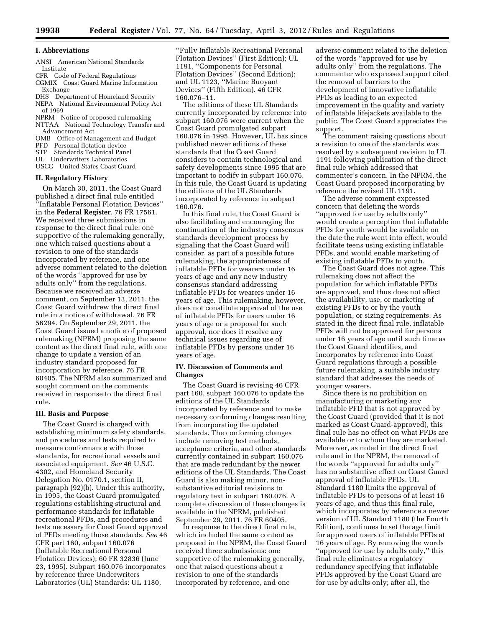# **I. Abbreviations**

- ANSI American National Standards Institute
- CFR Code of Federal Regulations CGMIX Coast Guard Marine Information Exchange
- DHS Department of Homeland Security
- NEPA National Environmental Policy Act of 1969
- NPRM Notice of proposed rulemaking
- NTTAA National Technology Transfer and Advancement Act
- OMB Office of Management and Budget
- PFD Personal flotation device
- STP Standards Technical Panel
- UL Underwriters Laboratories
- USCG United States Coast Guard

## **II. Regulatory History**

On March 30, 2011, the Coast Guard published a direct final rule entitled ''Inflatable Personal Flotation Devices'' in the **Federal Register**. 76 FR 17561. We received three submissions in response to the direct final rule: one supportive of the rulemaking generally, one which raised questions about a revision to one of the standards incorporated by reference, and one adverse comment related to the deletion of the words ''approved for use by adults only'' from the regulations. Because we received an adverse comment, on September 13, 2011, the Coast Guard withdrew the direct final rule in a notice of withdrawal. 76 FR 56294. On September 29, 2011, the Coast Guard issued a notice of proposed rulemaking (NPRM) proposing the same content as the direct final rule, with one change to update a version of an industry standard proposed for incorporation by reference. 76 FR 60405. The NPRM also summarized and sought comment on the comments received in response to the direct final rule.

## **III. Basis and Purpose**

The Coast Guard is charged with establishing minimum safety standards, and procedures and tests required to measure conformance with those standards, for recreational vessels and associated equipment. *See* 46 U.S.C. 4302, and Homeland Security Delegation No. 0170.1, section II, paragraph (92)(b). Under this authority, in 1995, the Coast Guard promulgated regulations establishing structural and performance standards for inflatable recreational PFDs, and procedures and tests necessary for Coast Guard approval of PFDs meeting those standards. *See* 46 CFR part 160, subpart 160.076 (Inflatable Recreational Personal Flotation Devices); 60 FR 32836 (June 23, 1995). Subpart 160.076 incorporates by reference three Underwriters Laboratories (UL) Standards: UL 1180,

''Fully Inflatable Recreational Personal Flotation Devices'' (First Edition); UL 1191, ''Components for Personal Flotation Devices'' (Second Edition); and UL 1123, ''Marine Buoyant Devices'' (Fifth Edition). 46 CFR 160.076–11.

The editions of these UL Standards currently incorporated by reference into subpart 160.076 were current when the Coast Guard promulgated subpart 160.076 in 1995. However, UL has since published newer editions of these standards that the Coast Guard considers to contain technological and safety developments since 1995 that are important to codify in subpart 160.076. In this rule, the Coast Guard is updating the editions of the UL Standards incorporated by reference in subpart 160.076.

In this final rule, the Coast Guard is also facilitating and encouraging the continuation of the industry consensus standards development process by signaling that the Coast Guard will consider, as part of a possible future rulemaking, the appropriateness of inflatable PFDs for wearers under 16 years of age and any new industry consensus standard addressing inflatable PFDs for wearers under 16 years of age. This rulemaking, however, does not constitute approval of the use of inflatable PFDs for users under 16 years of age or a proposal for such approval, nor does it resolve any technical issues regarding use of inflatable PFDs by persons under 16 years of age.

## **IV. Discussion of Comments and Changes**

The Coast Guard is revising 46 CFR part 160, subpart 160.076 to update the editions of the UL Standards incorporated by reference and to make necessary conforming changes resulting from incorporating the updated standards. The conforming changes include removing test methods, acceptance criteria, and other standards currently contained in subpart 160.076 that are made redundant by the newer editions of the UL Standards. The Coast Guard is also making minor, nonsubstantive editorial revisions to regulatory text in subpart 160.076. A complete discussion of these changes is available in the NPRM, published September 29, 2011. 76 FR 60405.

In response to the direct final rule, which included the same content as proposed in the NPRM, the Coast Guard received three submissions: one supportive of the rulemaking generally, one that raised questions about a revision to one of the standards incorporated by reference, and one

adverse comment related to the deletion of the words ''approved for use by adults only'' from the regulations. The commenter who expressed support cited the removal of barriers to the development of innovative inflatable PFDs as leading to an expected improvement in the quality and variety of inflatable lifejackets available to the public. The Coast Guard appreciates the support.

The comment raising questions about a revision to one of the standards was resolved by a subsequent revision to UL 1191 following publication of the direct final rule which addressed that commenter's concern. In the NPRM, the Coast Guard proposed incorporating by reference the revised UL 1191.

The adverse comment expressed concern that deleting the words ''approved for use by adults only'' would create a perception that inflatable PFDs for youth would be available on the date the rule went into effect, would facilitate teens using existing inflatable PFDs, and would enable marketing of existing inflatable PFDs to youth.

The Coast Guard does not agree. This rulemaking does not affect the population for which inflatable PFDs are approved, and thus does not affect the availability, use, or marketing of existing PFDs to or by the youth population, or sizing requirements. As stated in the direct final rule, inflatable PFDs will not be approved for persons under 16 years of age until such time as the Coast Guard identifies, and incorporates by reference into Coast Guard regulations through a possible future rulemaking, a suitable industry standard that addresses the needs of younger wearers.

Since there is no prohibition on manufacturing or marketing any inflatable PFD that is not approved by the Coast Guard (provided that it is not marked as Coast Guard-approved), this final rule has no effect on what PFDs are available or to whom they are marketed. Moreover, as noted in the direct final rule and in the NPRM, the removal of the words ''approved for adults only'' has no substantive effect on Coast Guard approval of inflatable PFDs. UL Standard 1180 limits the approval of inflatable PFDs to persons of at least 16 years of age, and thus this final rule, which incorporates by reference a newer version of UL Standard 1180 (the Fourth Edition), continues to set the age limit for approved users of inflatable PFDs at 16 years of age. By removing the words ''approved for use by adults only,'' this final rule eliminates a regulatory redundancy specifying that inflatable PFDs approved by the Coast Guard are for use by adults only; after all, the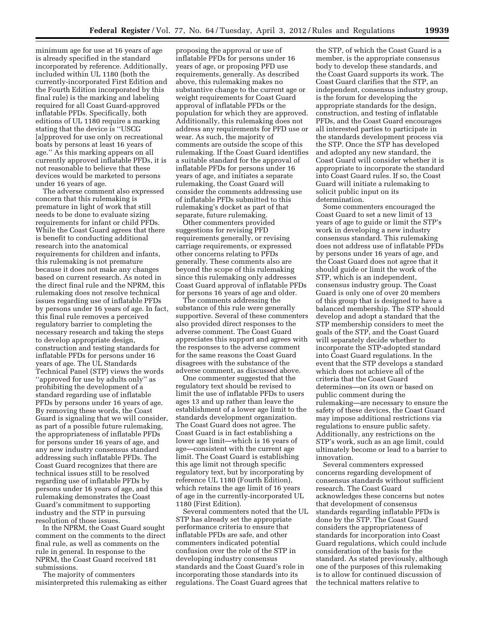minimum age for use at 16 years of age is already specified in the standard incorporated by reference. Additionally, included within UL 1180 (both the currently-incorporated First Edition and the Fourth Edition incorporated by this final rule) is the marking and labeling required for all Coast Guard-approved inflatable PFDs. Specifically, both editions of UL 1180 require a marking stating that the device is ''USCG [a]pproved for use only on recreational boats by persons at least 16 years of age.'' As this marking appears on all currently approved inflatable PFDs, it is not reasonable to believe that these devices would be marketed to persons under 16 years of age.

The adverse comment also expressed concern that this rulemaking is premature in light of work that still needs to be done to evaluate sizing requirements for infant or child PFDs. While the Coast Guard agrees that there is benefit to conducting additional research into the anatomical requirements for children and infants, this rulemaking is not premature because it does not make any changes based on current research. As noted in the direct final rule and the NPRM, this rulemaking does not resolve technical issues regarding use of inflatable PFDs by persons under 16 years of age. In fact, this final rule removes a perceived regulatory barrier to completing the necessary research and taking the steps to develop appropriate design, construction and testing standards for inflatable PFDs for persons under 16 years of age. The UL Standards Technical Panel (STP) views the words ''approved for use by adults only'' as prohibiting the development of a standard regarding use of inflatable PFDs by persons under 16 years of age. By removing these words, the Coast Guard is signaling that we will consider, as part of a possible future rulemaking, the appropriateness of inflatable PFDs for persons under 16 years of age, and any new industry consensus standard addressing such inflatable PFDs. The Coast Guard recognizes that there are technical issues still to be resolved regarding use of inflatable PFDs by persons under 16 years of age, and this rulemaking demonstrates the Coast Guard's commitment to supporting industry and the STP in pursuing resolution of those issues.

In the NPRM, the Coast Guard sought comment on the comments to the direct final rule, as well as comments on the rule in general. In response to the NPRM, the Coast Guard received 181 submissions.

The majority of commenters misinterpreted this rulemaking as either

proposing the approval or use of inflatable PFDs for persons under 16 years of age, or proposing PFD use requirements, generally. As described above, this rulemaking makes no substantive change to the current age or weight requirements for Coast Guard approval of inflatable PFDs or the population for which they are approved. Additionally, this rulemaking does not address any requirements for PFD use or wear. As such, the majority of comments are outside the scope of this rulemaking. If the Coast Guard identifies a suitable standard for the approval of inflatable PFDs for persons under 16 years of age, and initiates a separate rulemaking, the Coast Guard will consider the comments addressing use of inflatable PFDs submitted to this rulemaking's docket as part of that separate, future rulemaking.

Other commenters provided suggestions for revising PFD requirements generally, or revising carriage requirements, or expressed other concerns relating to PFDs generally. These comments also are beyond the scope of this rulemaking since this rulemaking only addresses Coast Guard approval of inflatable PFDs for persons 16 years of age and older.

The comments addressing the substance of this rule were generally supportive. Several of these commenters also provided direct responses to the adverse comment. The Coast Guard appreciates this support and agrees with the responses to the adverse comment for the same reasons the Coast Guard disagrees with the substance of the adverse comment, as discussed above.

One commenter suggested that the regulatory text should be revised to limit the use of inflatable PFDs to users ages 13 and up rather than leave the establishment of a lower age limit to the standards development organization. The Coast Guard does not agree. The Coast Guard is in fact establishing a lower age limit—which is 16 years of age—consistent with the current age limit. The Coast Guard is establishing this age limit not through specific regulatory text, but by incorporating by reference UL 1180 (Fourth Edition), which retains the age limit of 16 years of age in the currently-incorporated UL 1180 (First Edition).

Several commenters noted that the UL STP has already set the appropriate performance criteria to ensure that inflatable PFDs are safe, and other commenters indicated potential confusion over the role of the STP in developing industry consensus standards and the Coast Guard's role in incorporating those standards into its regulations. The Coast Guard agrees that

the STP, of which the Coast Guard is a member, is the appropriate consensus body to develop these standards, and the Coast Guard supports its work. The Coast Guard clarifies that the STP, an independent, consensus industry group, is the forum for developing the appropriate standards for the design, construction, and testing of inflatable PFDs, and the Coast Guard encourages all interested parties to participate in the standards development process via the STP. Once the STP has developed and adopted any new standard, the Coast Guard will consider whether it is appropriate to incorporate the standard into Coast Guard rules. If so, the Coast Guard will initiate a rulemaking to solicit public input on its determination.

Some commenters encouraged the Coast Guard to set a new limit of 13 years of age to guide or limit the STP's work in developing a new industry consensus standard. This rulemaking does not address use of inflatable PFDs by persons under 16 years of age, and the Coast Guard does not agree that it should guide or limit the work of the STP, which is an independent, consensus industry group. The Coast Guard is only one of over 20 members of this group that is designed to have a balanced membership. The STP should develop and adopt a standard that the STP membership considers to meet the goals of the STP, and the Coast Guard will separately decide whether to incorporate the STP-adopted standard into Coast Guard regulations. In the event that the STP develops a standard which does not achieve all of the criteria that the Coast Guard determines—on its own or based on public comment during the rulemaking—are necessary to ensure the safety of these devices, the Coast Guard may impose additional restrictions via regulations to ensure public safety. Additionally, any restrictions on the STP's work, such as an age limit, could ultimately become or lead to a barrier to innovation.

Several commenters expressed concerns regarding development of consensus standards without sufficient research. The Coast Guard acknowledges these concerns but notes that development of consensus standards regarding inflatable PFDs is done by the STP. The Coast Guard considers the appropriateness of standards for incorporation into Coast Guard regulations, which could include consideration of the basis for the standard. As stated previously, although one of the purposes of this rulemaking is to allow for continued discussion of the technical matters relative to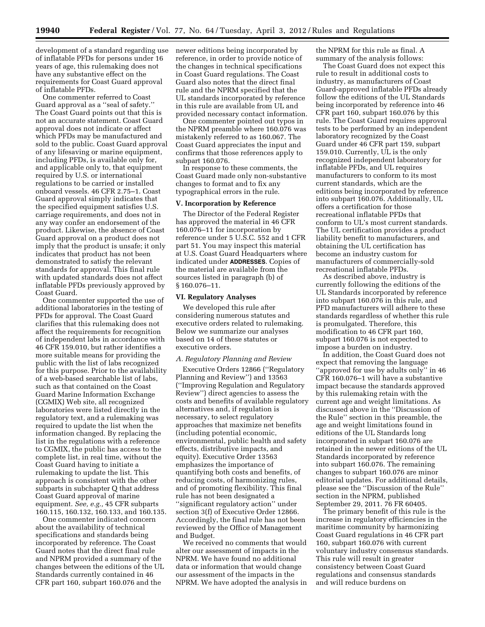development of a standard regarding use of inflatable PFDs for persons under 16 years of age, this rulemaking does not have any substantive effect on the requirements for Coast Guard approval of inflatable PFDs.

One commenter referred to Coast Guard approval as a ''seal of safety.'' The Coast Guard points out that this is not an accurate statement. Coast Guard approval does not indicate or affect which PFDs may be manufactured and sold to the public. Coast Guard approval of any lifesaving or marine equipment, including PFDs, is available only for, and applicable only to, that equipment required by U.S. or international regulations to be carried or installed onboard vessels. 46 CFR 2.75–1. Coast Guard approval simply indicates that the specified equipment satisfies U.S. carriage requirements, and does not in any way confer an endorsement of the product. Likewise, the absence of Coast Guard approval on a product does not imply that the product is unsafe; it only indicates that product has not been demonstrated to satisfy the relevant standards for approval. This final rule with updated standards does not affect inflatable PFDs previously approved by Coast Guard.

One commenter supported the use of additional laboratories in the testing of PFDs for approval. The Coast Guard clarifies that this rulemaking does not affect the requirements for recognition of independent labs in accordance with 46 CFR 159.010, but rather identifies a more suitable means for providing the public with the list of labs recognized for this purpose. Prior to the availability of a web-based searchable list of labs, such as that contained on the Coast Guard Marine Information Exchange (CGMIX) Web site, all recognized laboratories were listed directly in the regulatory text, and a rulemaking was required to update the list when the information changed. By replacing the list in the regulations with a reference to CGMIX, the public has access to the complete list, in real time, without the Coast Guard having to initiate a rulemaking to update the list. This approach is consistent with the other subparts in subchapter Q that address Coast Guard approval of marine equipment. *See, e.g.,* 45 CFR subparts 160.115, 160.132, 160.133, and 160.135.

One commenter indicated concern about the availability of technical specifications and standards being incorporated by reference. The Coast Guard notes that the direct final rule and NPRM provided a summary of the changes between the editions of the UL Standards currently contained in 46 CFR part 160, subpart 160.076 and the

newer editions being incorporated by reference, in order to provide notice of the changes in technical specifications in Coast Guard regulations. The Coast Guard also notes that the direct final rule and the NPRM specified that the UL standards incorporated by reference in this rule are available from UL and provided necessary contact information.

One commenter pointed out typos in the NPRM preamble where 160.076 was mistakenly referred to as 160.067. The Coast Guard appreciates the input and confirms that those references apply to subpart 160.076.

In response to these comments, the Coast Guard made only non-substantive changes to format and to fix any typographical errors in the rule.

## **V. Incorporation by Reference**

The Director of the Federal Register has approved the material in 46 CFR 160.076–11 for incorporation by reference under 5 U.S.C. 552 and 1 CFR part 51. You may inspect this material at U.S. Coast Guard Headquarters where indicated under **ADDRESSES**. Copies of the material are available from the sources listed in paragraph (b) of § 160.076–11.

## **VI. Regulatory Analyses**

We developed this rule after considering numerous statutes and executive orders related to rulemaking. Below we summarize our analyses based on 14 of these statutes or executive orders.

## *A. Regulatory Planning and Review*

Executive Orders 12866 (''Regulatory Planning and Review'') and 13563 (''Improving Regulation and Regulatory Review'') direct agencies to assess the costs and benefits of available regulatory alternatives and, if regulation is necessary, to select regulatory approaches that maximize net benefits (including potential economic, environmental, public health and safety effects, distributive impacts, and equity). Executive Order 13563 emphasizes the importance of quantifying both costs and benefits, of reducing costs, of harmonizing rules, and of promoting flexibility. This final rule has not been designated a ''significant regulatory action'' under section 3(f) of Executive Order 12866. Accordingly, the final rule has not been reviewed by the Office of Management and Budget.

We received no comments that would alter our assessment of impacts in the NPRM. We have found no additional data or information that would change our assessment of the impacts in the NPRM. We have adopted the analysis in the NPRM for this rule as final. A summary of the analysis follows:

The Coast Guard does not expect this rule to result in additional costs to industry, as manufacturers of Coast Guard-approved inflatable PFDs already follow the editions of the UL Standards being incorporated by reference into 46 CFR part 160, subpart 160.076 by this rule. The Coast Guard requires approval tests to be performed by an independent laboratory recognized by the Coast Guard under 46 CFR part 159, subpart 159.010. Currently, UL is the only recognized independent laboratory for inflatable PFDs, and UL requires manufacturers to conform to its most current standards, which are the editions being incorporated by reference into subpart 160.076. Additionally, UL offers a certification for those recreational inflatable PFDs that conform to UL's most current standards. The UL certification provides a product liability benefit to manufacturers, and obtaining the UL certification has become an industry custom for manufacturers of commercially-sold recreational inflatable PFDs.

As described above, industry is currently following the editions of the UL Standards incorporated by reference into subpart 160.076 in this rule, and PFD manufacturers will adhere to these standards regardless of whether this rule is promulgated. Therefore, this modification to 46 CFR part 160, subpart 160.076 is not expected to impose a burden on industry.

In addition, the Coast Guard does not expect that removing the language ''approved for use by adults only'' in 46 CFR 160.076–1 will have a substantive impact because the standards approved by this rulemaking retain with the current age and weight limitations. As discussed above in the ''Discussion of the Rule'' section in this preamble, the age and weight limitations found in editions of the UL Standards long incorporated in subpart 160.076 are retained in the newer editions of the UL Standards incorporated by reference into subpart 160.076. The remaining changes to subpart 160.076 are minor editorial updates. For additional details, please see the ''Discussion of the Rule'' section in the NPRM, published September 29, 2011. 76 FR 60405.

The primary benefit of this rule is the increase in regulatory efficiencies in the maritime community by harmonizing Coast Guard regulations in 46 CFR part 160, subpart 160.076 with current voluntary industry consensus standards. This rule will result in greater consistency between Coast Guard regulations and consensus standards and will reduce burdens on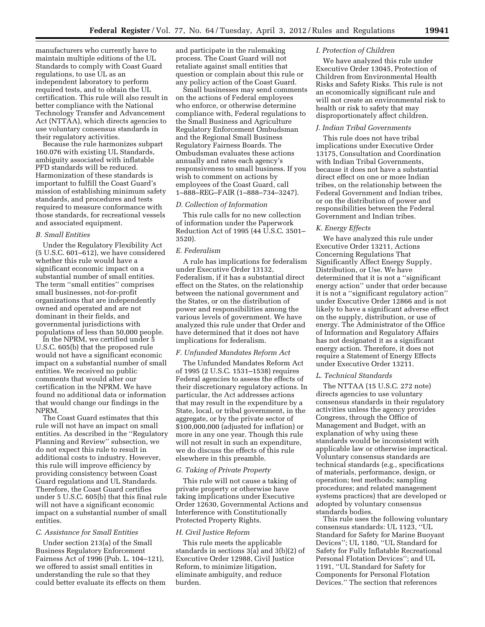manufacturers who currently have to maintain multiple editions of the UL Standards to comply with Coast Guard regulations, to use UL as an independent laboratory to perform required tests, and to obtain the UL certification. This rule will also result in better compliance with the National Technology Transfer and Advancement Act (NTTAA), which directs agencies to use voluntary consensus standards in their regulatory activities.

Because the rule harmonizes subpart 160.076 with existing UL Standards, ambiguity associated with inflatable PFD standards will be reduced. Harmonization of these standards is important to fulfill the Coast Guard's mission of establishing minimum safety standards, and procedures and tests required to measure conformance with those standards, for recreational vessels and associated equipment.

## *B. Small Entities*

Under the Regulatory Flexibility Act (5 U.S.C. 601–612), we have considered whether this rule would have a significant economic impact on a substantial number of small entities. The term ''small entities'' comprises small businesses, not-for-profit organizations that are independently owned and operated and are not dominant in their fields, and governmental jurisdictions with populations of less than 50,000 people.

In the NPRM, we certified under 5 U.S.C. 605(b) that the proposed rule would not have a significant economic impact on a substantial number of small entities. We received no public comments that would alter our certification in the NPRM. We have found no additional data or information that would change our findings in the NPRM.

The Coast Guard estimates that this rule will not have an impact on small entities. As described in the ''Regulatory Planning and Review'' subsection, we do not expect this rule to result in additional costs to industry. However, this rule will improve efficiency by providing consistency between Coast Guard regulations and UL Standards. Therefore, the Coast Guard certifies under 5 U.S.C. 605(b) that this final rule will not have a significant economic impact on a substantial number of small entities.

## *C. Assistance for Small Entities*

Under section 213(a) of the Small Business Regulatory Enforcement Fairness Act of 1996 (Pub. L. 104–121), we offered to assist small entities in understanding the rule so that they could better evaluate its effects on them and participate in the rulemaking process. The Coast Guard will not retaliate against small entities that question or complain about this rule or any policy action of the Coast Guard.

Small businesses may send comments on the actions of Federal employees who enforce, or otherwise determine compliance with, Federal regulations to the Small Business and Agriculture Regulatory Enforcement Ombudsman and the Regional Small Business Regulatory Fairness Boards. The Ombudsman evaluates these actions annually and rates each agency's responsiveness to small business. If you wish to comment on actions by employees of the Coast Guard, call 1–888–REG–FAIR (1–888–734–3247).

## *D. Collection of Information*

This rule calls for no new collection of information under the Paperwork Reduction Act of 1995 (44 U.S.C. 3501– 3520).

## *E. Federalism*

A rule has implications for federalism under Executive Order 13132, Federalism, if it has a substantial direct effect on the States, on the relationship between the national government and the States, or on the distribution of power and responsibilities among the various levels of government. We have analyzed this rule under that Order and have determined that it does not have implications for federalism.

## *F. Unfunded Mandates Reform Act*

The Unfunded Mandates Reform Act of 1995 (2 U.S.C. 1531–1538) requires Federal agencies to assess the effects of their discretionary regulatory actions. In particular, the Act addresses actions that may result in the expenditure by a State, local, or tribal government, in the aggregate, or by the private sector of \$100,000,000 (adjusted for inflation) or more in any one year. Though this rule will not result in such an expenditure, we do discuss the effects of this rule elsewhere in this preamble.

## *G. Taking of Private Property*

This rule will not cause a taking of private property or otherwise have taking implications under Executive Order 12630, Governmental Actions and Interference with Constitutionally Protected Property Rights.

#### *H. Civil Justice Reform*

This rule meets the applicable standards in sections 3(a) and 3(b)(2) of Executive Order 12988, Civil Justice Reform, to minimize litigation, eliminate ambiguity, and reduce burden.

#### *I. Protection of Children*

We have analyzed this rule under Executive Order 13045, Protection of Children from Environmental Health Risks and Safety Risks. This rule is not an economically significant rule and will not create an environmental risk to health or risk to safety that may disproportionately affect children.

## *J. Indian Tribal Governments*

This rule does not have tribal implications under Executive Order 13175, Consultation and Coordination with Indian Tribal Governments, because it does not have a substantial direct effect on one or more Indian tribes, on the relationship between the Federal Government and Indian tribes, or on the distribution of power and responsibilities between the Federal Government and Indian tribes.

## *K. Energy Effects*

We have analyzed this rule under Executive Order 13211, Actions Concerning Regulations That Significantly Affect Energy Supply, Distribution, or Use. We have determined that it is not a ''significant energy action'' under that order because it is not a ''significant regulatory action'' under Executive Order 12866 and is not likely to have a significant adverse effect on the supply, distribution, or use of energy. The Administrator of the Office of Information and Regulatory Affairs has not designated it as a significant energy action. Therefore, it does not require a Statement of Energy Effects under Executive Order 13211.

## *L. Technical Standards*

The NTTAA (15 U.S.C. 272 note) directs agencies to use voluntary consensus standards in their regulatory activities unless the agency provides Congress, through the Office of Management and Budget, with an explanation of why using these standards would be inconsistent with applicable law or otherwise impractical. Voluntary consensus standards are technical standards (e.g., specifications of materials, performance, design, or operation; test methods; sampling procedures; and related management systems practices) that are developed or adopted by voluntary consensus standards bodies.

This rule uses the following voluntary consensus standards: UL 1123, ''UL Standard for Safety for Marine Buoyant Devices''; UL 1180, ''UL Standard for Safety for Fully Inflatable Recreational Personal Flotation Devices''; and UL 1191, ''UL Standard for Safety for Components for Personal Flotation Devices.'' The section that references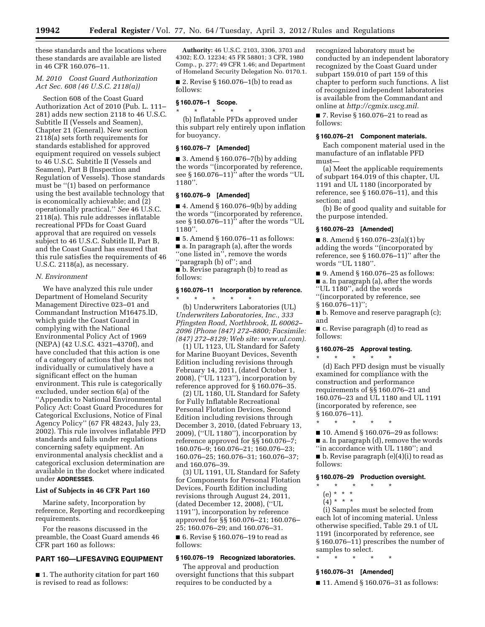these standards and the locations where these standards are available are listed in 46 CFR 160.076–11.

## *M. 2010 Coast Guard Authorization Act Sec. 608 (46 U.S.C. 2118(a))*

Section 608 of the Coast Guard Authorization Act of 2010 (Pub. L. 111– 281) adds new section 2118 to 46 U.S.C. Subtitle II (Vessels and Seamen), Chapter 21 (General). New section 2118(a) sets forth requirements for standards established for approved equipment required on vessels subject to 46 U.S.C. Subtitle II (Vessels and Seamen), Part B (Inspection and Regulation of Vessels). Those standards must be ''(1) based on performance using the best available technology that is economically achievable; and (2) operationally practical.'' *See* 46 U.S.C. 2118(a). This rule addresses inflatable recreational PFDs for Coast Guard approval that are required on vessels subject to 46 U.S.C. Subtitle II, Part B, and the Coast Guard has ensured that this rule satisfies the requirements of 46 U.S.C. 2118(a), as necessary.

## *N. Environment*

We have analyzed this rule under Department of Homeland Security Management Directive 023–01 and Commandant Instruction M16475.lD, which guide the Coast Guard in complying with the National Environmental Policy Act of 1969 (NEPA) (42 U.S.C. 4321–4370f), and have concluded that this action is one of a category of actions that does not individually or cumulatively have a significant effect on the human environment. This rule is categorically excluded, under section 6(a) of the ''Appendix to National Environmental Policy Act: Coast Guard Procedures for Categorical Exclusions, Notice of Final Agency Policy'' (67 FR 48243, July 23, 2002). This rule involves inflatable PFD standards and falls under regulations concerning safety equipment. An environmental analysis checklist and a categorical exclusion determination are available in the docket where indicated under **ADDRESSES**.

## **List of Subjects in 46 CFR Part 160**

Marine safety, Incorporation by reference, Reporting and recordkeeping requirements.

For the reasons discussed in the preamble, the Coast Guard amends 46 CFR part 160 as follows:

## **PART 160—LIFESAVING EQUIPMENT**

■ 1. The authority citation for part 160 is revised to read as follows:

**Authority:** 46 U.S.C. 2103, 3306, 3703 and 4302; E.O. 12234; 45 FR 58801; 3 CFR, 1980 Comp., p. 277; 49 CFR 1.46; and Department of Homeland Security Delegation No. 0170.1.

■ 2. Revise § 160.076-1(b) to read as follows:

#### **§ 160.076–1 Scope.**

\* \* \* \* \*

(b) Inflatable PFDs approved under this subpart rely entirely upon inflation for buoyancy.

## **§ 160.076–7 [Amended]**

 $\blacksquare$  3. Amend § 160.076–7(b) by adding the words ''(incorporated by reference, see  $§ 160.076-11$ <sup>"</sup> after the words "UL 1180''.

## **§ 160.076–9 [Amended]**

■ 4. Amend § 160.076–9(b) by adding the words ''(incorporated by reference, see  $§$  160.076–11)<sup>7</sup> after the words "UL 1180''.

■ 5. Amend § 160.076–11 as follows: ■ a. In paragraph (a), after the words ''one listed in'', remove the words ''paragraph (b) of''; and

■ b. Revise paragraph (b) to read as follows:

## **§ 160.076–11 Incorporation by reference.**  \* \* \* \* \*

(b) Underwriters Laboratories (UL) *Underwriters Laboratories, Inc., 333 Pfingsten Road, Northbrook, IL 60062– 2096 (Phone (847) 272–8800; Facsimile: (847) 272–8129; Web site: [www.ul.com\).](http://www.ul.com)* 

(1) UL 1123, UL Standard for Safety for Marine Buoyant Devices, Seventh Edition including revisions through February 14, 2011, (dated October 1, 2008), (''UL 1123''), incorporation by reference approved for § 160.076–35.

(2) UL 1180, UL Standard for Safety for Fully Inflatable Recreational Personal Flotation Devices, Second Edition including revisions through December 3, 2010, (dated February 13, 2009), (''UL 1180''), incorporation by reference approved for §§ 160.076–7; 160.076–9; 160.076–21; 160.076–23; 160.076–25; 160.076–31; 160.076–37; and 160.076–39.

(3) UL 1191, UL Standard for Safety for Components for Personal Flotation Devices, Fourth Edition including revisions through August 24, 2011, (dated December 12, 2008), (''UL 1191''), incorporation by reference approved for §§ 160.076–21; 160.076– 25; 160.076–29; and 160.076–31. ■ 6. Revise § 160.076–19 to read as follows:

# **§ 160.076–19 Recognized laboratories.**

The approval and production oversight functions that this subpart requires to be conducted by a

recognized laboratory must be conducted by an independent laboratory recognized by the Coast Guard under subpart 159.010 of part 159 of this chapter to perform such functions. A list of recognized independent laboratories is available from the Commandant and online at *[http://cgmix.uscg.mil.](http://cgmix.uscg.mil)* 

■ 7. Revise § 160.076–21 to read as follows:

## **§ 160.076–21 Component materials.**

Each component material used in the manufacture of an inflatable PFD must—

(a) Meet the applicable requirements of subpart 164.019 of this chapter, UL 1191 and UL 1180 (incorporated by reference, see § 160.076–11), and this section; and

(b) Be of good quality and suitable for the purpose intended.

## **§ 160.076–23 [Amended]**

■ 8. Amend § 160.076–23(a)(1) by adding the words ''(incorporated by reference, see § 160.076–11)'' after the words ''UL 1180''.

■ 9. Amend § 160.076–25 as follows:

■ a. In paragraph (a), after the words

''UL 1180'', add the words

''(incorporated by reference, see § 160.076–11)'';

■ b. Remove and reserve paragraph (c);

\* \* \* \* \*

and

■ c. Revise paragraph (d) to read as follows:

## **§ 160.076–25 Approval testing.**

(d) Each PFD design must be visually examined for compliance with the construction and performance requirements of §§ 160.076–21 and 160.076–23 and UL 1180 and UL 1191 (incorporated by reference, see § 160.076–11).

\* \* \* \* \* ■ 10. Amend § 160.076–29 as follows: ■ a. In paragraph (d), remove the words ''in accordance with UL 1180''; and

■ b. Revise paragraph (e)(4)(i) to read as follows:

## **§ 160.076–29 Production oversight.**

- \* \* \* \* \*
	- (e) \* \* \*
	- $(4) * * * *$

(i) Samples must be selected from each lot of incoming material. Unless otherwise specified, Table 29.1 of UL 1191 (incorporated by reference, see § 160.076–11) prescribes the number of samples to select.

# \* \* \* \* \* **§ 160.076–31 [Amended]**

■ 11. Amend § 160.076–31 as follows: